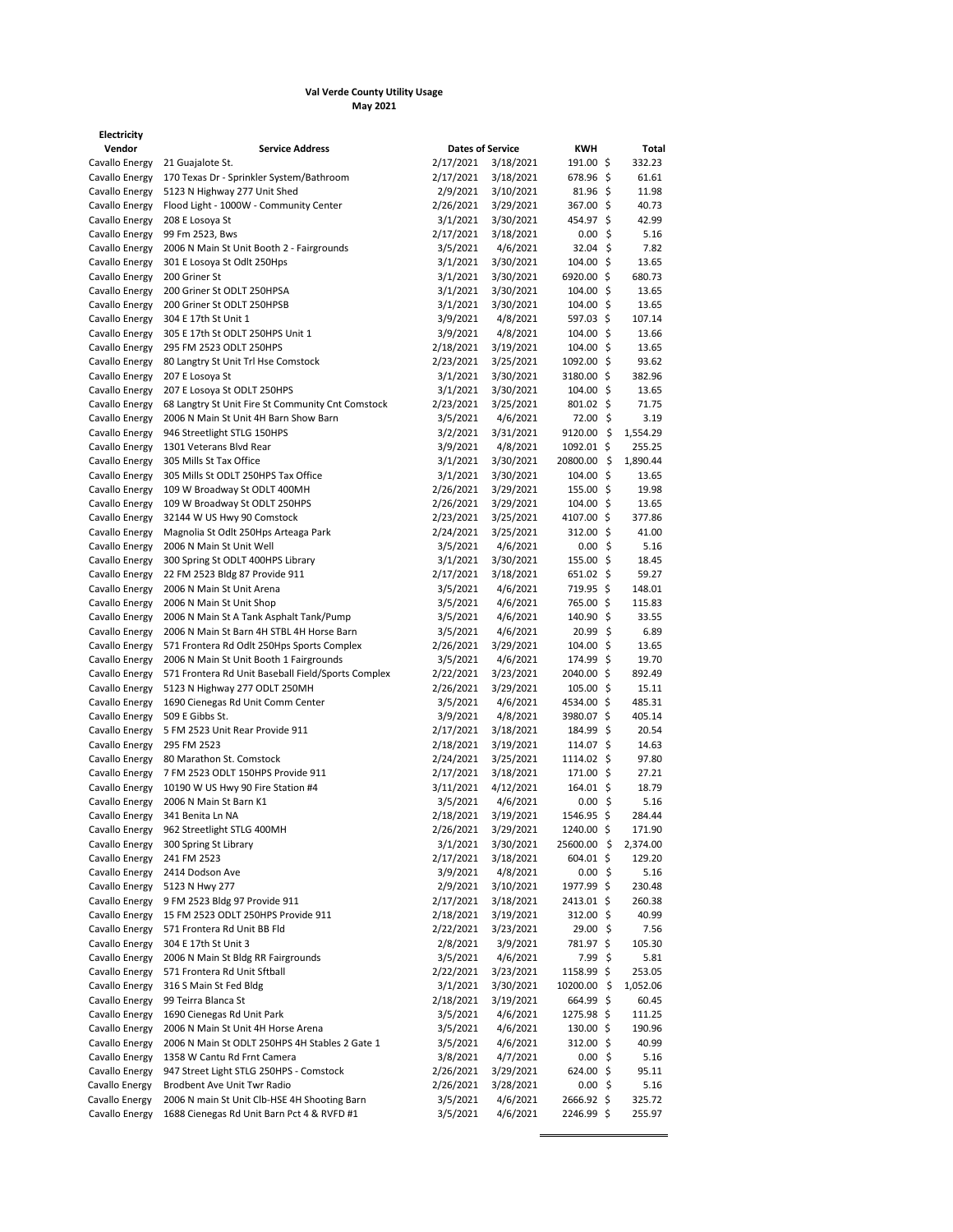## **Val Verde County Utility Usage May 2021**

| Vendor         | <b>Service Address</b>                            | <b>Dates of Service</b> |           | <b>KWH</b>          |     | Total    |
|----------------|---------------------------------------------------|-------------------------|-----------|---------------------|-----|----------|
| Cavallo Energy | 21 Guajalote St.                                  | 2/17/2021               | 3/18/2021 | 191.00 \$           |     | 332.23   |
| Cavallo Energy | 170 Texas Dr - Sprinkler System/Bathroom          | 2/17/2021               | 3/18/2021 | 678.96 \$           |     | 61.61    |
| Cavallo Energy | 5123 N Highway 277 Unit Shed                      | 2/9/2021                | 3/10/2021 | $81.96 \pm$         |     | 11.98    |
| Cavallo Energy | Flood Light - 1000W - Community Center            | 2/26/2021               | 3/29/2021 | 367.00 \$           |     | 40.73    |
| Cavallo Energy | 208 E Losoya St                                   | 3/1/2021                | 3/30/2021 | 454.97 \$           |     | 42.99    |
| Cavallo Energy | 99 Fm 2523, Bws                                   | 2/17/2021               | 3/18/2021 | 0.00                | -Ŝ  | 5.16     |
| Cavallo Energy | 2006 N Main St Unit Booth 2 - Fairgrounds         | 3/5/2021                | 4/6/2021  | $32.04$ \$          |     | 7.82     |
| Cavallo Energy | 301 E Losoya St Odlt 250Hps                       | 3/1/2021                | 3/30/2021 | 104.00              | -Ŝ  | 13.65    |
| Cavallo Energy | 200 Griner St                                     | 3/1/2021                | 3/30/2021 | 6920.00 \$          |     | 680.73   |
| Cavallo Energy | 200 Griner St ODLT 250HPSA                        | 3/1/2021                | 3/30/2021 | 104.00 <sub>5</sub> |     | 13.65    |
| Cavallo Energy | 200 Griner St ODLT 250HPSB                        | 3/1/2021                | 3/30/2021 | 104.00 \$           |     | 13.65    |
| Cavallo Energy | 304 E 17th St Unit 1                              | 3/9/2021                | 4/8/2021  | 597.03 \$           |     | 107.14   |
| Cavallo Energy | 305 E 17th St ODLT 250HPS Unit 1                  | 3/9/2021                | 4/8/2021  | $104.00 \text{ S}$  |     | 13.66    |
| Cavallo Energy | 295 FM 2523 ODLT 250HPS                           | 2/18/2021               | 3/19/2021 | $104.00 \text{ S}$  |     | 13.65    |
| Cavallo Energy | 80 Langtry St Unit Trl Hse Comstock               | 2/23/2021               | 3/25/2021 | 1092.00 \$          |     | 93.62    |
| Cavallo Energy | 207 E Losoya St                                   | 3/1/2021                | 3/30/2021 | 3180.00 \$          |     | 382.96   |
| Cavallo Energy | 207 E Losova St ODLT 250HPS                       | 3/1/2021                | 3/30/2021 | $104.00 \text{ }$   |     | 13.65    |
| Cavallo Energy | 68 Langtry St Unit Fire St Community Cnt Comstock | 2/23/2021               | 3/25/2021 | 801.02 \$           |     | 71.75    |
| Cavallo Energy | 2006 N Main St Unit 4H Barn Show Barn             | 3/5/2021                | 4/6/2021  | 72.00 \$            |     | 3.19     |
| Cavallo Energy | 946 Streetlight STLG 150HPS                       | 3/2/2021                | 3/31/2021 | 9120.00             | Ŝ   | 1,554.29 |
| Cavallo Energy | 1301 Veterans Blvd Rear                           | 3/9/2021                | 4/8/2021  | 1092.01 \$          |     | 255.25   |
| Cavallo Energy | 305 Mills St Tax Office                           | 3/1/2021                | 3/30/2021 | 20800.00            | -Ŝ  | 1,890.44 |
| Cavallo Energy | 305 Mills St ODLT 250HPS Tax Office               | 3/1/2021                | 3/30/2021 | $104.00 \text{ S}$  |     | 13.65    |
| Cavallo Energy | 109 W Broadway St ODLT 400MH                      | 2/26/2021               | 3/29/2021 | 155.00              | \$. | 19.98    |
|                |                                                   |                         |           |                     |     |          |

**Electricity**

| Cavallo Energy | 170 Texas Dr - Sprinkler System/Bathroom           | 2/17/2021 | 3/18/2021 | 678.96 \$          | 61.61    |
|----------------|----------------------------------------------------|-----------|-----------|--------------------|----------|
| Cavallo Energy | 5123 N Highway 277 Unit Shed                       | 2/9/2021  | 3/10/2021 | $81.96$ \$         | 11.98    |
| Cavallo Energy | Flood Light - 1000W - Community Center             | 2/26/2021 | 3/29/2021 | 367.00 \$          | 40.73    |
| Cavallo Energy | 208 E Losoya St                                    | 3/1/2021  | 3/30/2021 | 454.97 \$          | 42.99    |
| Cavallo Energy | 99 Fm 2523, Bws                                    | 2/17/2021 | 3/18/2021 | 0.00%              | 5.16     |
| Cavallo Energy | 2006 N Main St Unit Booth 2 - Fairgrounds          | 3/5/2021  | 4/6/2021  | $32.04$ \$         | 7.82     |
|                |                                                    |           |           |                    |          |
| Cavallo Energy | 301 E Losoya St Odlt 250Hps                        | 3/1/2021  | 3/30/2021 | $104.00$ \$        | 13.65    |
| Cavallo Energy | 200 Griner St                                      | 3/1/2021  | 3/30/2021 | 6920.00 \$         | 680.73   |
| Cavallo Energy | 200 Griner St ODLT 250HPSA                         | 3/1/2021  | 3/30/2021 | 104.00 \$          | 13.65    |
| Cavallo Energy | 200 Griner St ODLT 250HPSB                         | 3/1/2021  | 3/30/2021 | 104.00 \$          | 13.65    |
| Cavallo Energy | 304 E 17th St Unit 1                               | 3/9/2021  | 4/8/2021  | 597.03 \$          | 107.14   |
| Cavallo Energy | 305 E 17th St ODLT 250HPS Unit 1                   | 3/9/2021  | 4/8/2021  | 104.00 \$          | 13.66    |
| Cavallo Energy | 295 FM 2523 ODLT 250HPS                            | 2/18/2021 | 3/19/2021 | 104.00 \$          | 13.65    |
| Cavallo Energy | 80 Langtry St Unit Trl Hse Comstock                | 2/23/2021 | 3/25/2021 | 1092.00 \$         | 93.62    |
| Cavallo Energy | 207 E Losova St                                    | 3/1/2021  | 3/30/2021 | 3180.00 \$         | 382.96   |
| Cavallo Energy | 207 E Losoya St ODLT 250HPS                        | 3/1/2021  | 3/30/2021 | 104.00 \$          | 13.65    |
| Cavallo Energy | 68 Langtry St Unit Fire St Community Cnt Comstock  | 2/23/2021 | 3/25/2021 | 801.02 \$          | 71.75    |
|                |                                                    |           |           |                    |          |
| Cavallo Energy | 2006 N Main St Unit 4H Barn Show Barn              | 3/5/2021  | 4/6/2021  | 72.00 \$           | 3.19     |
| Cavallo Energy | 946 Streetlight STLG 150HPS                        | 3/2/2021  | 3/31/2021 | 9120.00 \$         | 1,554.29 |
| Cavallo Energy | 1301 Veterans Blvd Rear                            | 3/9/2021  | 4/8/2021  | 1092.01 \$         | 255.25   |
| Cavallo Energy | 305 Mills St Tax Office                            | 3/1/2021  | 3/30/2021 | 20800.00 \$        | 1,890.44 |
| Cavallo Energy | 305 Mills St ODLT 250HPS Tax Office                | 3/1/2021  | 3/30/2021 | 104.00 \$          | 13.65    |
| Cavallo Energy | 109 W Broadway St ODLT 400MH                       | 2/26/2021 | 3/29/2021 | $155.00$ \$        | 19.98    |
| Cavallo Energy | 109 W Broadway St ODLT 250HPS                      | 2/26/2021 | 3/29/2021 | 104.00 \$          | 13.65    |
| Cavallo Energy | 32144 W US Hwy 90 Comstock                         | 2/23/2021 | 3/25/2021 | 4107.00 \$         | 377.86   |
| Cavallo Energy | Magnolia St Odlt 250Hps Arteaga Park               | 2/24/2021 | 3/25/2021 | $312.00$ \$        | 41.00    |
| Cavallo Energy | 2006 N Main St Unit Well                           | 3/5/2021  | 4/6/2021  | 0.00%              | 5.16     |
|                |                                                    |           |           |                    |          |
| Cavallo Energy | 300 Spring St ODLT 400HPS Library                  | 3/1/2021  | 3/30/2021 | 155.00%            | 18.45    |
| Cavallo Energy | 22 FM 2523 Bldg 87 Provide 911                     | 2/17/2021 | 3/18/2021 | $651.02 \; \simeq$ | 59.27    |
| Cavallo Energy | 2006 N Main St Unit Arena                          | 3/5/2021  | 4/6/2021  | 719.95 \$          | 148.01   |
| Cavallo Energy | 2006 N Main St Unit Shop                           | 3/5/2021  | 4/6/2021  | 765.00 \$          | 115.83   |
| Cavallo Energy | 2006 N Main St A Tank Asphalt Tank/Pump            | 3/5/2021  | 4/6/2021  | 140.90 \$          | 33.55    |
| Cavallo Energy | 2006 N Main St Barn 4H STBL 4H Horse Barn          | 3/5/2021  | 4/6/2021  | 20.99 \$           | 6.89     |
| Cavallo Energy | 571 Frontera Rd Odlt 250Hps Sports Complex         | 2/26/2021 | 3/29/2021 | 104.00 \$          | 13.65    |
| Cavallo Energy | 2006 N Main St Unit Booth 1 Fairgrounds            | 3/5/2021  | 4/6/2021  | 174.99 \$          | 19.70    |
| Cavallo Energy | 571 Frontera Rd Unit Baseball Field/Sports Complex | 2/22/2021 | 3/23/2021 | 2040.00 \$         | 892.49   |
| Cavallo Energy | 5123 N Highway 277 ODLT 250MH                      | 2/26/2021 | 3/29/2021 | 105.00 \$          | 15.11    |
| Cavallo Energy | 1690 Cienegas Rd Unit Comm Center                  | 3/5/2021  | 4/6/2021  | 4534.00 \$         | 485.31   |
| Cavallo Energy | 509 E Gibbs St.                                    | 3/9/2021  | 4/8/2021  | 3980.07 \$         | 405.14   |
| Cavallo Energy | 5 FM 2523 Unit Rear Provide 911                    |           |           | 184.99 \$          | 20.54    |
|                |                                                    | 2/17/2021 | 3/18/2021 |                    |          |
| Cavallo Energy | 295 FM 2523                                        | 2/18/2021 | 3/19/2021 | 114.07 \$          | 14.63    |
| Cavallo Energy | 80 Marathon St. Comstock                           | 2/24/2021 | 3/25/2021 | 1114.02 \$         | 97.80    |
| Cavallo Energy | 7 FM 2523 ODLT 150HPS Provide 911                  | 2/17/2021 | 3/18/2021 | 171.00 \$          | 27.21    |
| Cavallo Energy | 10190 W US Hwy 90 Fire Station #4                  | 3/11/2021 | 4/12/2021 | 164.01 \$          | 18.79    |
| Cavallo Energy | 2006 N Main St Barn K1                             | 3/5/2021  | 4/6/2021  | 0.00%              | 5.16     |
| Cavallo Energy | 341 Benita Ln NA                                   | 2/18/2021 | 3/19/2021 | 1546.95 \$         | 284.44   |
| Cavallo Energy | 962 Streetlight STLG 400MH                         | 2/26/2021 | 3/29/2021 | 1240.00 \$         | 171.90   |
| Cavallo Energy | 300 Spring St Library                              | 3/1/2021  | 3/30/2021 | 25600.00 \$        | 2,374.00 |
| Cavallo Energy | 241 FM 2523                                        | 2/17/2021 | 3/18/2021 | $604.01$ \$        | 129.20   |
| Cavallo Energy | 2414 Dodson Ave                                    | 3/9/2021  | 4/8/2021  | $0.00\;$ \$        | 5.16     |
|                |                                                    |           |           |                    |          |
| Cavallo Energy | 5123 N Hwy 277                                     | 2/9/2021  | 3/10/2021 | 1977.99 \$         | 230.48   |
| Cavallo Energy | 9 FM 2523 Bldg 97 Provide 911                      | 2/17/2021 | 3/18/2021 | 2413.01 \$         | 260.38   |
| Cavallo Energy | 15 FM 2523 ODLT 250HPS Provide 911                 | 2/18/2021 | 3/19/2021 | 312.00 \$          | 40.99    |
| Cavallo Energy | 571 Frontera Rd Unit BB Fld                        | 2/22/2021 | 3/23/2021 | 29.00%             | 7.56     |
| Cavallo Energy | 304 E 17th St Unit 3                               | 2/8/2021  | 3/9/2021  | 781.97 \$          | 105.30   |
| Cavallo Energy | 2006 N Main St Bldg RR Fairgrounds                 | 3/5/2021  | 4/6/2021  | 7.99 \$            | 5.81     |
| Cavallo Energy | 571 Frontera Rd Unit Sftball                       | 2/22/2021 | 3/23/2021 | 1158.99 \$         | 253.05   |
| Cavallo Energy | 316 S Main St Fed Bldg                             | 3/1/2021  | 3/30/2021 | 10200.00 \$        | 1,052.06 |
| Cavallo Energy | 99 Teirra Blanca St                                | 2/18/2021 | 3/19/2021 | 664.99 \$          | 60.45    |
| Cavallo Energy | 1690 Cienegas Rd Unit Park                         | 3/5/2021  | 4/6/2021  | 1275.98 \$         | 111.25   |
| Cavallo Energy | 2006 N Main St Unit 4H Horse Arena                 | 3/5/2021  | 4/6/2021  | 130.00 \$          | 190.96   |
|                |                                                    | 3/5/2021  |           |                    |          |
| Cavallo Energy | 2006 N Main St ODLT 250HPS 4H Stables 2 Gate 1     |           | 4/6/2021  | 312.00 \$          | 40.99    |
| Cavallo Energy | 1358 W Cantu Rd Frnt Camera                        | 3/8/2021  | 4/7/2021  | 0.00%              | 5.16     |
| Cavallo Energy | 947 Street Light STLG 250HPS - Comstock            | 2/26/2021 | 3/29/2021 | $624.00$ \$        | 95.11    |
| Cavallo Energy | Brodbent Ave Unit Twr Radio                        | 2/26/2021 | 3/28/2021 | 0.00%              | 5.16     |
| Cavallo Energy | 2006 N main St Unit Clb-HSE 4H Shooting Barn       | 3/5/2021  | 4/6/2021  | 2666.92 \$         | 325.72   |
| Cavallo Energy | 1688 Cienegas Rd Unit Barn Pct 4 & RVFD #1         | 3/5/2021  | 4/6/2021  | 2246.99 \$         | 255.97   |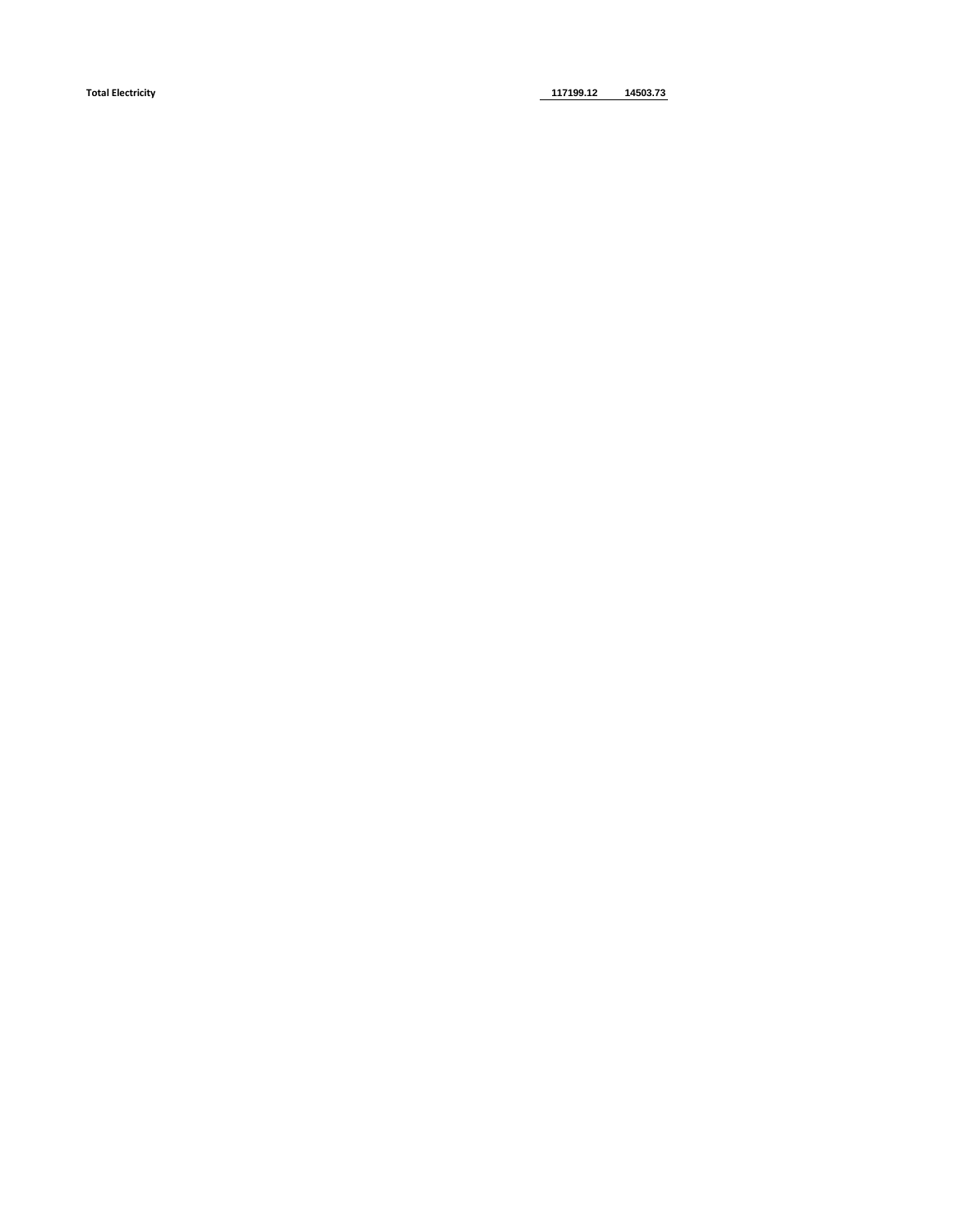**Total Electricity 117199.12 14503.73**